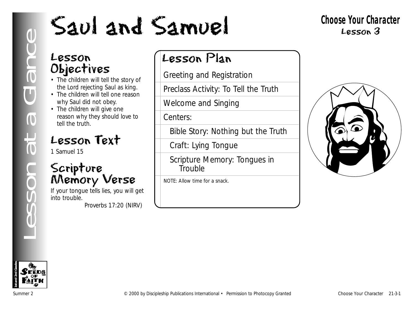#### **Choose Your Character** Lesson 3

## Lesson Objectives

- The children will tell the story of the Lord rejecting Saul as king.
- The children will tell one reason why Saul did not obey.
- The children will give one reason why they should love to tell the truth.

# Lesson Text

1 Samuel 15

# Scripture Memory Verse

If your tongue tells lies, you will get into trouble. *Proverbs 17:20 (NIRV)*

# Lesson Plan

Greeting and Registration

Preclass Activity: To Tell the Truth

Welcome and Singing

Centers:

Bible Story: Nothing but the Truth

Craft: Lying Tongue

Scripture Memory: Tongues in **Trouble** 

NOTE: Allow time for a snack.



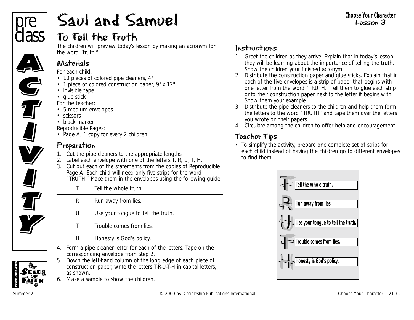

# Saul and Samuel

## To Tell the Truth

The children will preview today's lesson by making an acronym for the word "truth."

#### Materials

*For each child:*

- 10 pieces of colored pipe cleaners, 4"
- 1 piece of colored construction paper, 9" x 12"
- invisible tape
- glue stick

*For the teacher:*

- 5 medium envelopes
- scissors
- black marker

*Reproducible Pages:*

• Page A, 1 copy for every 2 children

#### Preparation

- 1. Cut the pipe cleaners to the appropriate lengths.
- 2. Label each envelope with one of the letters T, R, U, T, H.
- 3. Cut out each of the statements from the copies of Reproducible Page A. Each child will need only five strips for the word "TRUTH." Place them in the envelopes using the following quide:

|   | TINUTITE FIGUE DIENTER DIE CHVEIDDES USING THE FUILOWING GUIUC |
|---|----------------------------------------------------------------|
|   | Tell the whole truth.                                          |
| R | Run away from lies.                                            |
| U | Use your tongue to tell the truth.                             |
|   | Trouble comes from lies.                                       |
| H | Honesty is God's policy.                                       |

- 4. Form a pipe cleaner letter for each of the letters. Tape on the corresponding envelope from Step 2.
- 5. Down the left-hand column of the long edge of each piece of construction paper, write the letters T-R-U-T-H in capital letters, as shown.
- 6. Make a sample to show the children.

#### Instructions

- 1. Greet the children as they arrive. Explain that in today's lesson they will be learning about the importance of telling the truth. Show the children your finished acronym.
- 2. Distribute the construction paper and glue sticks. Explain that in each of the five envelopes is a strip of paper that begins with one letter from the word "TRUTH." Tell them to glue each strip onto their construction paper next to the letter it begins with. Show them your example.
- 3. Distribute the pipe cleaners to the children and help them form the letters to the word "TRUTH" and tape them over the letters you wrote on their papers.
- 4. Circulate among the children to offer help and encouragement.

#### Teacher Tips

• To simplify the activity, prepare one complete set of strips for each child instead of having the children go to different envelopes to find them.



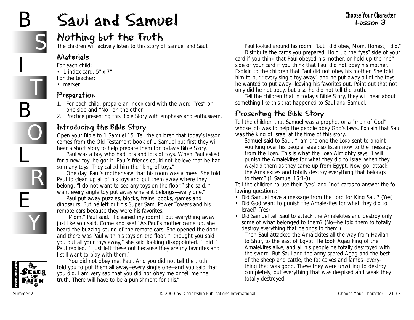# B

I

B

L

E

S

T

O

R

Y

# Saul and Samuel

## Nothing but the Truth

The children will actively listen to this story of Samuel and Saul.

#### Materials

- *For each child:*
- 1 index card, 5" x 7"
- *For the teacher:*
- marker

#### Preparation

- 1. For each child, prepare an index card with the word "Yes" on one side and "No" on the other.
- 2. Practice presenting this Bible Story with emphasis and enthusiasm.

#### Introducing the Bible Story

Open your Bible to 1 Samuel 15*.* Tell the children that today's lesson comes from the Old Testament book of 1 Samuel but first they will hear a short story to help prepare them for today's Bible Story.

*Paul was a boy who had lots and lots of toys. When Paul asked for a new toy, he got it. Paul's friends could not believe that he had so many toys. They called him the "king of toys."*

*One day, Paul's mother saw that his room was a mess. She told Paul to clean up all of his toys and put them away where they belong. "I do not want to see any toys on the floor," she said. "I want every single toy put away where it belongs—every one."*

*Paul put away puzzles, blocks, trains, books, games and dinosaurs. But he left out his Super Sam, Power Towers and his remote cars because they were his favorites.*

*"Mom," Paul said. "I cleaned my room! I put everything away just like you said. Come and see!" As Paul's mother came up, she heard the buzzing sound of the remote cars. She opened the door and there was Paul with his toys on the floor. "I thought you said you put all your toys away," she said looking disappointed. "I did!" Paul replied. "I just left these out because they are my favorites and I still want to play with them."* 



*"You did not obey me, Paul. And you did not tell the truth. I told you to put them all away—every single one—and you said that you did. I am very sad that you did not obey me or tell me the truth. There will have to be a punishment for this."* 

*Paul looked around his room. "But I did obey, Mom. Honest, I did."* 

Distribute the cards you prepared. *Hold up the "yes" side of your card if you think that Paul obeyed his mother, or hold up the "no" side of your card if you think that Paul did not obey his mother.* Explain to the children that Paul did not obey his mother. She told him to put "every single toy away" and he put away all of the toys he wanted to put away—leaving his favorites out. Point out that not only did he not obey, but also he did not tell the truth.

Tell the children that in today's Bible Story, they will hear about something like this that happened to Saul and Samuel.

#### Presenting the Bible Story

Tell the children that Samuel was a prophet or a "man of God" whose job was to help the people obey God's laws. Explain that Saul was the king of Israel at the time of this story.

*Samuel said to Saul, "I am the one the LORD sent to anoint you king over his people Israel; so listen now to the message from the LORD. This is what the LORD Almighty says: 'I will punish the Amalekites for what they did to Israel when they waylaid them as they came up from Egypt. Now go, attack the Amalekites and totally destroy everything that belongs to them"* (1 Samuel 15:1-3).

Tell the children to use their "yes" and "no" cards to answer the following questions:

- *Did Samuel have a message from the Lord for King Saul?* (Yes)
- *Did God want to punish the Amalekites for what they did to Israel?* (Yes)
- *Did Samuel tell Saul to attack the Amalekites and destroy only some of what belonged to them?* (No—he told them to totally destroy everything that belongs to them.)

*Then Saul attacked the Amalekites all the way from Havilah to Shur, to the east of Egypt. He took Agag king of the Amalekites alive, and all his people he totally destroyed with the sword. But Saul and the army spared Agag and the best of the sheep and cattle, the fat calves and lambs—everything that was good. These they were unwilling to destroy completely, but everything that was despised and weak they totally destroyed.*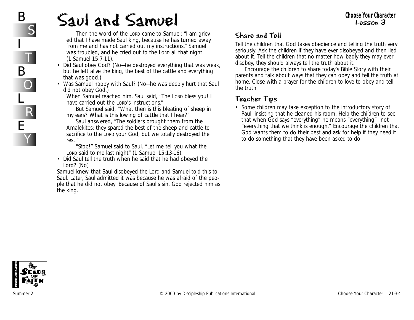# Saul and Samuel

*Then the word of the LORD came to Samuel: "I am grieved that I have made Saul king, because he has turned away from me and has not carried out my instructions." Samuel was troubled, and he cried out to the LORD all that night*  (1 Samuel 15:7-11).

- *Did Saul obey God?* (No—he destroyed everything that was weak, but he left alive the king, the best of the cattle and everything that was good.)
- *Was Samuel happy with Saul?* (No—he was deeply hurt that Saul did not obey God.)

*When Samuel reached him, Saul said, "The LORD bless you! I have carried out the LORD'S instructions."* 

*But Samuel said, "What then is this bleating of sheep in my ears? What is this lowing of cattle that I hear?"* 

*Saul answered, "The soldiers brought them from the Amalekites; they spared the best of the sheep and cattle to sacrifice to the LORD your God, but we totally destroyed the rest."* 

*"Stop!" Samuel said to Saul. "Let me tell you what the LORD said to me last night"* (1 Samuel 15:13-16).

• *Did Saul tell the truth when he said that he had obeyed the Lord?* (No)

*Samuel knew that Saul disobeyed the Lord and Samuel told this to Saul. Later, Saul admitted it was because he was afraid of the people that he did not obey. Because of Saul's sin, God rejected him as the king.* 

#### Share and Tell

Tell the children that God takes obedience and telling the truth very seriously. Ask the children if they have ever disobeyed and then lied about it. Tell the children that no matter how badly they may ever disobey, they should always tell the truth about it.

Encourage the children to share today's Bible Story with their parents and talk about ways that they can obey and tell the truth at home. Close with a prayer for the children to love to obey and tell the truth.

#### Teacher Tips

• Some children may take exception to the introductory story of Paul, insisting that he cleaned his room. Help the children to see that when God says "everything" he means "everything"—not "everything that we think is enough." Encourage the children that God wants them to do their best and ask for help if they need it to do something that they have been asked to do.



B

I

B

L

E

S

T

O

R

Y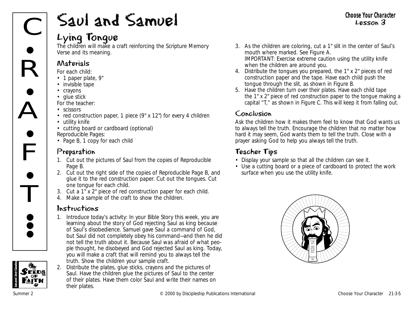# Saul and Samuel

#### Lying Tongue

The children will make a craft reinforcing the Scripture Memory Verse and its meaning.

#### Materials

*For each child:*

- 1 paper plate, 9"
- invisible tape
- crayons
- glue stick

*For the teacher:*

- scissors
- red construction paper, 1 piece (9" x 12") for every 4 children
- utility knife
- cutting board or cardboard (optional)
- *Reproducible Pages:*
- Page B, 1 copy for each child

#### Preparation

- 1. Cut out the pictures of Saul from the copies of Reproducible Page B.
- 2. Cut out the right side of the copies of Reproducible Page B, and glue it to the red construction paper. Cut out the tongues. Cut one tongue for each child.
- 3. Cut a 1" x 2" piece of red construction paper for each child.
- 4. Make a sample of the craft to show the children.

#### Instructions

- 1. Introduce today's activity: *In your Bible Story this week, you are learning about the story of God rejecting Saul as king because of Saul's disobedience. Samuel gave Saul a command of God, but Saul did not completely obey his command—and then he did not tell the truth about it. Because* Saul as the start of God,<br> *but Saul did not completely obey his command—and then he did*<br> *not tell the truth about it. Because Saul was afraid of what people thought, he disobeyed and God rejected Saul as king. Today, you will make a craft that will remind you to always tell the truth.* Show the children your sample craft.
	- 2. Distribute the plates, glue sticks, crayons and the pictures of Saul. Have the children glue the pictures of Saul to the center of their plates. Have them color Saul and write their names on their plates.
- 3. As the children are coloring, cut a 1" slit in the center of Saul's mouth where marked. See Figure A. IMPORTANT: Exercise extreme caution using the utility knife when the children are around you.
- 4. Distribute the tongues you prepared, the 1" x 2" pieces of red construction paper and the tape. Have each child push the tongue through the slit, as shown in Figure B.
- 5. Have the children turn over their plates. Have each child tape the 1" x 2" piece of red construction paper to the tongue making a capital "T," as shown in Figure C. This will keep it from falling out.

#### Conclusion

Ask the children how it makes them feel to know that God wants us to always tell the truth. Encourage the children that no matter how hard it may seem, God wants them to tell the truth. Close with a prayer asking God to help you always tell the truth.

#### Teacher Tips

- Display your sample so that all the children can see it.
- Use a cutting board or a piece of cardboard to protect the work surface when you use the utility knife.



FĒDS

**1st and 2nd Grades**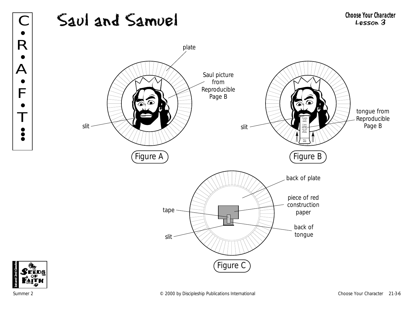



R

•

•

 $\overline{\mathsf{A}}$ 

 $\bullet$ 

F

•

T

•<br>• **; •**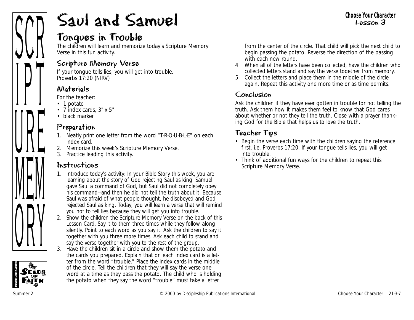# **1st and 2nd Grades** ANII  $\prod$ UIL IVILIVI VIII

# Saul and Samuel

## Tongues in Trouble

The children will learn and memorize today's Scripture Memory Verse in this fun activity.

#### Scripture Memory Verse

If your tongue tells lies, you will get into trouble. *Proverbs 17:20* (NIRV)

#### Materials

*For the teacher:*

- 1 potato
- 7 index cards, 3" x 5"
- black marker

#### Preparation

- 1. Neatly print one letter from the word "T-R-O-U-B-L-E" on each index card.
- 2. Memorize this week's Scripture Memory Verse.
- 3. Practice leading this activity.

#### Instructions

- 1. Introduce today's activity: *In your Bible Story this week, you are learning about the story of God rejecting Saul as king. Samuel gave Saul a command of God, but Saul did not completely obey his command—and then he did not tell the truth about it. Because Saul was afraid of what people thought, he disobeyed and God rejected Saul as king. Today, you will learn a verse that will remind you not to tell lies because they will get you into trouble.*
- 2. Show the children the Scripture Memory Verse on the back of this Lesson Card. Say it to them three times while they follow along silently. Point to each word as you say it. Ask the children to say it together with you three more times. Ask each child to stand and say the verse together with you to the rest of the group.
- 3. Have the children sit in a circle and show them the potato and the cards you prepared. Explain that on each index card is a letter from the word "trouble." Place the index cards in the middle of the circle. Tell the children that they will say the verse one word at a time as they pass the potato. The child who is holding the potato when they say the word "trouble" must take a letter

from the center of the circle. That child will pick the next child to begin passing the potato. Reverse the direction of the passing with each new round.

- 4. When all of the letters have been collected, have the children who collected letters stand and say the verse together from memory.
- 5. Collect the letters and place them in the middle of the circle again. Repeat this activity one more time or as time permits.

#### Conclusion

Ask the children if they have ever gotten in trouble for not telling the truth. Ask them how it makes them feel to know that God cares about whether or not they tell the truth. Close with a prayer thanking God for the Bible that helps us to love the truth.

- Begin the verse each time with the children saying the reference first, i.e. Proverbs 17:20, If your tongue tells lies, you will get into trouble.
- Think of additional fun ways for the children to repeat this Scripture Memory Verse.

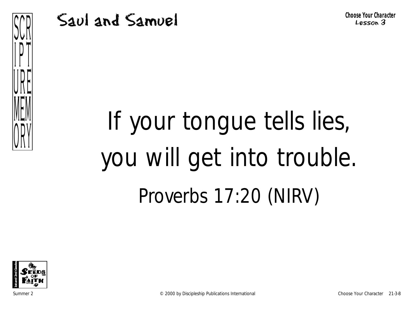

# If your tongue tells lies, you will get into trouble. Proverbs 17:20 (NIRV)



Summer 2 © 2000 by Discipleship Publications International Choose Your Character 21-3-8

 $\prod$ 

VIIL

MEM

VIII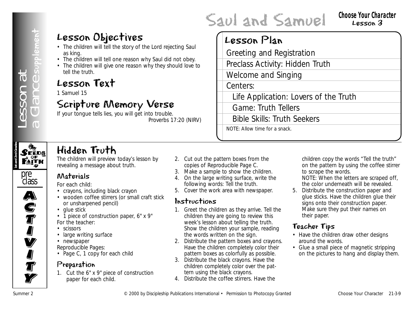## Lesson Objectives

- The children will tell the story of the Lord rejecting Saul as king.
- The children will tell one reason why Saul did not obey.
- The children will give one reason why they should love to tell the truth.

## Lesson Text

1 Samuel 15

## Scripture Memory Verse

If your tongue tells lies, you will get into trouble. *Proverbs 17:20* (NIRV)

## Lesson Plan

Greeting and Registration

Preclass Activity: Hidden Truth

Welcome and Singing

Saul and Samuel

Centers:

Life Application: Lovers of the Truth

Game: Truth Tellers

Bible Skills: Truth Seekers

NOTE: Allow time for a snack.



class  $\overline{\mathbf{A}}$ 

A)<br>C

**S**<br>T

I<br>I

**V** 

**I** 

**J**<br>T

**Ty** 

# Hidden Truth

The children will preview today's lesson by revealing a message about truth.

#### Materials

*For each child:*

- crayons, including black crayon
- wooden coffee stirrers (or small craft stick or unsharpened pencil)
- glue stick
- 1 piece of construction paper, 6" x 9" *For the teacher:*
- scissors
- large writing surface
- newspaper

*Reproducible Pages:* 

• Page C, 1 copy for each child

#### Preparation

1. Cut the 6" x 9" piece of construction paper for each child.

- 2. Cut out the pattern boxes from the copies of Reproducible Page C.
- 3. Make a sample to show the children.
- 4. On the large writing surface, write the following words: Tell the truth.
- 5. Cover the work area with newspaper.

#### Instructions

- **LESSON Objectives**<br> **Examples will be discovered and the summer of the United Summer Publications International Permission Plan<br>
Formulation Text (Summer 2 Considerations International Figure 2 Considerations Internati** 1. Greet the children as they arrive. Tell the children they are going to review this week's lesson about telling the truth. Show the children your sample, reading the words written on the sign.
	- 2. Distribute the pattern boxes and crayons. Have the children completely color their pattern boxes as colorfully as possible.
	- 3. Distribute the black crayons. Have the children completely color over the pattern using the black crayons.
	- 4. Distribute the coffee stirrers. Have the

children copy the words "Tell the truth" on the pattern by using the coffee stirrer to scrape the words.

NOTE: When the letters are scraped off, the color underneath will be revealed.

5. Distribute the construction paper and glue sticks. Have the children glue their signs onto their construction paper. Make sure they put their names on their paper.

- Have the children draw other designs around the words.
- Glue a small piece of magnetic stripping on the pictures to hang and display them.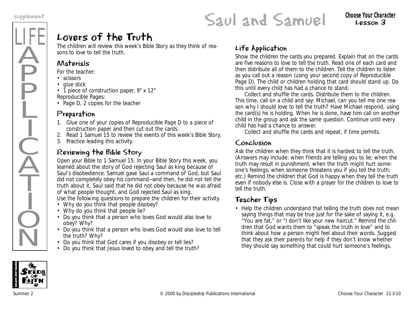LIFE

Ä

**P** 

P

Ļ

I

 $\frac{1}{2}$ 

 $\widecheck{\mathrm{A}}$ 

T

I

 $\dot{Q}$ 

 $\overline{\textsf{N}}$ 

# supplement<br> **SAULANDEL** CHOOSE YOU CHOOSE YOU CHOOSE YOUR CHOOSE YOUR CHOOSE YOUR CHOOSE YOUR CHOOSE YOUR CHOOSE YOUR CHOOSE YOUR CHOOSE YOUR CHOOSE YOUR CHOOSE YOUR CHOOSE YOUR CHOOSE YOUR CHOOSE YOUR CHOOSE YOUR CHOOSE Y

# Lesson 3

# Lovers of the Truth

The children will review this week's Bible Story as they think of reasons to love to tell the truth.

#### Materials

*For the teacher:*

- scissors
- glue stick

• 1 piece of construction paper, 9" x 12" *Reproducible Pages:*

• Page D, 2 copies for the teacher

#### Preparation

- 1. Glue one of your copies of Reproducible Page D to a piece of construction paper and then cut out the cards.
- 2. Read 1 Samuel 15 to review the events of this week's Bible Story.
- 3. Practice leading this activity.

#### Reviewing the Bible Story

Open your Bible to 1 Samuel 15. *In your Bible Story this week, you learned about the story of God rejecting Saul as king because of Saul's disobedience. Samuel gave Saul a command of God, but Saul did not completely obey his command—and then, he did not tell the truth about it. Saul said that he did not obey because he was afraid of what people thought, and God rejected Saul as king.*  Use the following questions to prepare the children for their activity.

- *Why do you think that people disobey?*
- *Why do you think that people lie?*
- *Do you think that a person who loves God would also love to obey? Why?*
- *Do you think that a person who loves God would also love to tell the truth? Why?*
- *Do you think that God cares if you disobey or tell lies?*
- *Do you think that Jesus loved to obey and tell the truth?*

#### Life Application

Show the children the cards you prepared. Explain that on the cards are five reasons to love to tell the truth. Read one of each card and then distribute all of them to the children. Tell the children to listen as you call out a reason (using your second copy of Reproducible Page D). The child or children holding that card should stand up. Do this until every child has had a chance to stand.

Collect and shuffle the cards. Distribute them to the children. This time, call on a child and say: *Michael, can you tell me one reason why I should love to tell the truth?* Have Michael respond, using the card(s) he is holding. When he is done, have him call on another child in the group and ask the same question. Continue until every child has had a chance to answer.

Collect and shuffle the cards and repeat, if time permits.

#### Conclusion

Ask the children when they think that it is hardest to tell the truth. (Answers may include: when friends are telling you to lie; when the truth may result in punishment; when the truth might hurt someone's feelings; when someone threatens you if you tell the truth; etc.) Remind the children that God is happy when they tell the truth even if nobody else is. Close with a prayer for the children to love to tell the truth.

#### Teacher Tips

• Help the children understand that telling the truth does not mean saying things that may be true just for the sake of saying it, e.g. "You are fat," or "I don't like your new haircut." Remind the children that God wants them to "speak the truth in love" and to think about how a person might feel about their words. Suggest that they ask their parents for help if they don't know whether they should say something that could hurt someone's feelings.

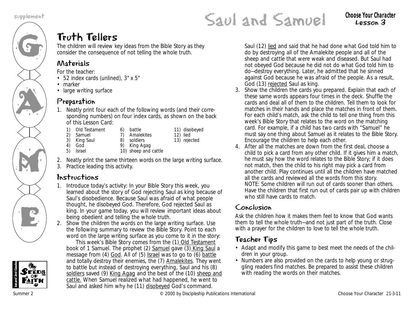G

AN A

M

K<br>E

# supplement **CAULANDEL** CHOOSE YOUR CHOOSE YOUR CHOOSE YOUR CHOOSE YOUR CHARACTER

# Truth Tellers

The children will review key ideas from the Bible Story as they consider the consequence of not telling the whole truth.

#### Materials

*For the teacher:*

- 52 index cards (unlined), 3" x 5"
- marker
- large writing surface

#### Preparation

1. Neatly print four each of the following words (and their corresponding numbers) on four index cards, as shown on the back of this Lesson Card:

6) battle

- 1) Old Testament<br>2) Samuel
- 2) Samuel<br>3) King Sai 7) Amalekites
- 3) King Saul
- 8) soldiers
- 12) lied 13) rejected

11) disobeyed

- 9) King Agag
- 4) God<br>5) Israel 5) Israel 10) sheep and cattle
- 2. Neatly print the same thirteen words on the large writing surface.
- 3. Practice leading this activity.

#### Instructions

- 1. Introduce today's activity: *In your Bible Story this week, you learned about the story of God rejecting Saul as king because of Saul's disobedience. Because Saul was afraid of what people thought, he disobeyed God. Therefore, God rejected Saul as king. In your game today, you will review important ideas about being obedient and telling the whole truth.*
- 2. Show the children the words on the large writing surface. Use the following summary to review the Bible Story. Point to each word on the large writing surface as you come to it in the story:

*This week's Bible Story comes from the (1) Old Testament book of 1 Samuel. The prophet (2) Samuel gave (3) King Saul a message from (4) God. All of (5) Israel was to go to (6) battle and totally destroy their enemies, the (7) Amalekites. They went to battle but instead of destroying everything, Saul and his (8) soldiers saved (9) King Agag and the best of the (10) sheep and cattle. When Samuel realized what had happened, he went to Saul and asked him why he (11) disobeyed God's command.*

*Saul (12) lied and said that he had done what God told him to do by destroying all of the Amalekite people and all of the sheep and cattle that were weak and diseased. But Saul had not obeyed God because he did not do what God told him to do—destroy everything. Later, he admitted that he sinned against God because he was afraid of the people. As a result, God (13) rejected Saul as king.* 

- 3. Show the children the cards you prepared. Explain that each of these same words appears four times in the deck. Shuffle the cards and deal all of them to the children. Tell them to look for matches in their hands and place the matches in front of them. For each child's match, ask the child to tell one thing from this week's Bible Story that relates to the word on the matching card. For example, if a child has two cards with "Samuel" he must say one thing about Samuel as it relates to the Bible Story. Encourage the children to help each other.
- 4. After all the matches are down from the first deal, choose a child to pick a card from any other child. If it gives him a match, he must say how the word relates to the Bible Story; if it does not match, then the child to his right may pick a card from another child. Play continues until all the children have matched all the cards and reviewed all the words from this story. NOTE: Some children will run out of cards sooner than others. Have the children that first run out of cards pair up with children who still have cards to match.

#### Conclusion

Ask the children how it makes them feel to know that God wants them to tell the whole truth—and not just part of the truth. Close with a prayer for the children to love to tell the whole truth.

- Adapt and modify this game to best meet the needs of the children in your group.
- Numbers are also provided on the cards to help young or struggling readers find matches. Be prepared to assist these children with reading the words on their matches.

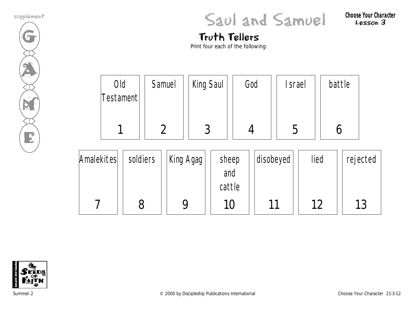

supplement **CAULANDEL** CHOOSE YOUR CHOOSE YOUR CHOOSE YOUR CHOOSE YOUR CHARACTER

Lesson 3

# Truth Tellers

Print four each of the following:

|            | Old<br>Testament |          | Samuel        |           | King Saul              |  | God |           | srael |      | battle |          |
|------------|------------------|----------|---------------|-----------|------------------------|--|-----|-----------|-------|------|--------|----------|
|            |                  |          | $\mathcal{P}$ |           | 3                      |  |     |           | 5     |      |        |          |
| Amalekites |                  | soldiers |               | King Agag | sheep<br>and<br>cattle |  |     | disobeyed |       | lied |        | rejected |

10

11

12



7

8

9

13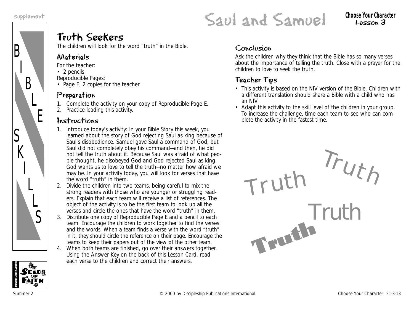B

S

 $K$ 

I

L

 $\overline{L}$ 

S

I

B

L

E



Lesson 3

## Truth Seekers

The children will look for the word "truth" in the Bible.

#### Materials

*For the teacher:*

- 2 pencils
- *Reproducible Pages:*
- Page E, 2 copies for the teacher

#### Preparation

- 1. Complete the activity on your copy of Reproducible Page E.
- 2. Practice leading this activity.

#### Instructions

- 1. Introduce today's activity: *In your Bible Story this week, you learned about the story of God rejecting Saul as king because of Saul's disobedience. Samuel gave Saul a command of God, but Saul did not completely obey his command—and then, he did not tell the truth about it. Because Saul was afraid of what people thought, he disobeyed God and God rejected Saul as king. God wants us to love to tell the truth—no matter how afraid we may* be. In your activity today, you will look for verses that have the word "truth" in them.
- 2. Divide the children into two teams, being careful to mix the strong readers with those who are younger or struggling readers. Explain that each team will receive a list of references. The object of the activity is to be the first team to look up all the verses and circle the ones that have the word "truth" in them.
- 3. Distribute one copy of Reproducible Page E and a pencil to each team. Encourage the children to work together to find the verses and the words. When a team finds a verse with the word "truth" in it, they should circle the reference on their page. Encourage the teams to keep their papers out of the view of the other team.
- 4. When both teams are finished, go over their answers together. Using the Answer Key on the back of this Lesson Card, read each verse to the children and correct their answers.

#### Conclusion

Ask the children why they think that the Bible has so many verses about the importance of telling the truth. Close with a prayer for the children to love to seek the truth.

- This activity is based on the NIV version of the Bible. Children with a different translation should share a Bible with a child who has an NIV.
- Adapt this activity to the skill level of the children in your group. To increase the challenge, time each team to see who can complete the activity in the fastest time.



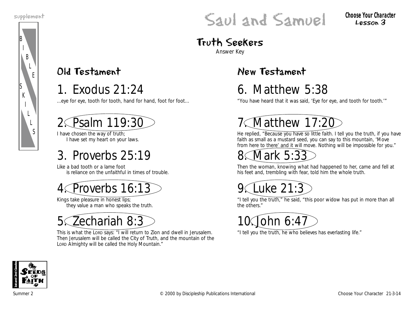

# supplement **CAULANDEL** CHOOSE YOUR CHOOSE YOUR CHOOSE YOUR CHOOSE YOUR CHOOSE YOUR CHARACTER

Lesson 3

# Truth Seekers

Answer Key

## Old Testament

1. Exodus 21:24

…eye for eye, tooth for tooth, hand for hand, foot for foot…

# Psalm 119:30

I have chosen the way of truth; I have set my heart on your laws.

# 3. Proverbs 25:19

Like a bad tooth or a lame foot is reliance on the unfaithful in times of trouble.

Proverbs 16:13

Kings take pleasure in honest lips; they value a man who speaks the truth.

5. Zechariah 8:3

This is what the LORD says: "I will return to Zion and dwell in Jerusalem. Then Jerusalem will be called the City of Truth, and the mountain of the LORD Almighty will be called the Holy Mountain."

## New Testament

# 6. Matthew 5:38

"You have heard that it was said, 'Eye for eye, and tooth for tooth.'"

# Matthew 17:20

He replied, "Because you have so little faith. I tell you the truth, if you have faith as small as a mustard seed, you can say to this mountain, 'Move from here to there' and it will move. Nothing will be impossible for you."

# Mark 5:3

Then the woman, knowing what had happened to her, came and fell at his feet and, trembling with fear, told him the whole truth.



"I tell you the truth," he said, "this poor widow has put in more than all the others."



"I tell you the truth, he who believes has everlasting life."

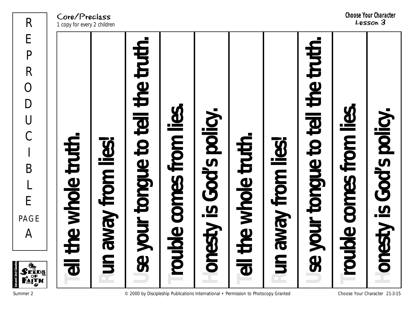Core/Preclass 1 copy for every 2 children



**1st and 2nd Grades**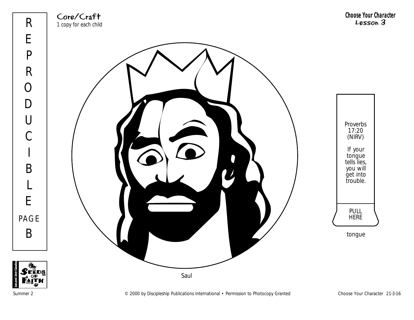



Summer 2 Choose Your Character 21-3-16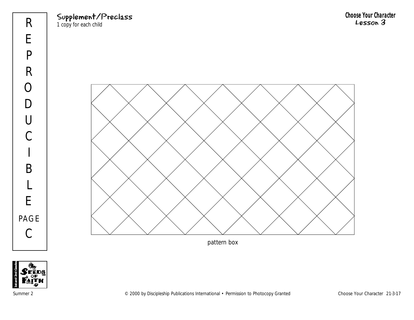Supplement/Preclass

1 copy for each child



pattern box

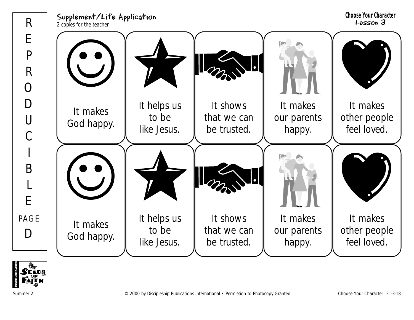Supplement/Life Application